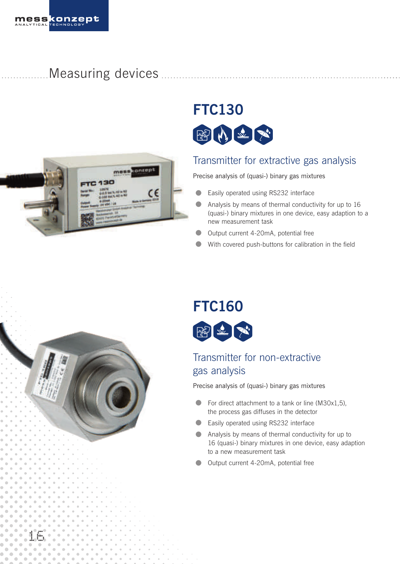Measuring devices



# **FTC130**



## Transmitter for extractive gas analysis

Precise analysis of (quasi-) binary gas mixtures

- **•** Easily operated using RS232 interface
- **•** Analysis by means of thermal conductivity for up to 16 (quasi-) binary mixtures in one device, easy adaption to a new measurement task
- **•** Output current 4-20mA, potential free
- With covered push-buttons for calibration in the field

# **FTC160**



## Transmitter for non-extractive gas analysis

Precise analysis of (quasi-) binary gas mixtures

- For direct attachment to a tank or line (M30x1,5), the process gas diffuses in the detector
- Easily operated using RS232 interface
- **•** Analysis by means of thermal conductivity for up to 16 (quasi-) binary mixtures in one device, easy adaption to a new measurement task
- **•** Output current 4-20mA, potential free